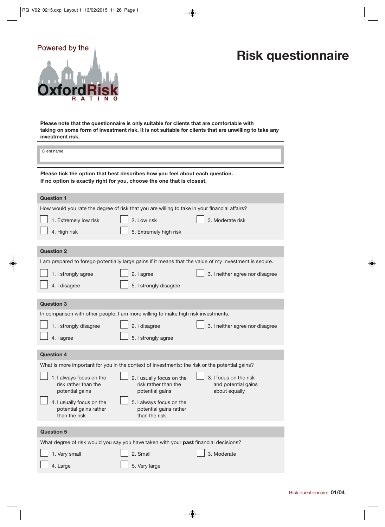## Powered by the

## **Risk questionnaire**



| Please note that the questionnaire is only suitable for clients that are comfortable with<br>taking on some form of investment risk. It is not suitable for clients that are unwilling to take any<br>investment risk. |                                                                             |                                                                                                        |  |  |  |
|------------------------------------------------------------------------------------------------------------------------------------------------------------------------------------------------------------------------|-----------------------------------------------------------------------------|--------------------------------------------------------------------------------------------------------|--|--|--|
| Client name                                                                                                                                                                                                            |                                                                             |                                                                                                        |  |  |  |
| Please tick the option that best describes how you feel about each question.<br>If no option is exactly right for you, choose the one that is closest.                                                                 |                                                                             |                                                                                                        |  |  |  |
| <b>Question 1</b>                                                                                                                                                                                                      |                                                                             |                                                                                                        |  |  |  |
| How would you rate the degree of risk that you are willing to take in your financial affairs?                                                                                                                          |                                                                             |                                                                                                        |  |  |  |
| 1. Extremely low risk                                                                                                                                                                                                  | 2. Low risk                                                                 | 3. Moderate risk                                                                                       |  |  |  |
| 4. High risk                                                                                                                                                                                                           | 5. Extremely high risk                                                      |                                                                                                        |  |  |  |
|                                                                                                                                                                                                                        |                                                                             |                                                                                                        |  |  |  |
| <b>Question 2</b>                                                                                                                                                                                                      |                                                                             |                                                                                                        |  |  |  |
|                                                                                                                                                                                                                        |                                                                             | I am prepared to forego potentially large gains if it means that the value of my investment is secure. |  |  |  |
| 1. I strongly agree                                                                                                                                                                                                    | 2. I agree                                                                  | 3. I neither agree nor disagree                                                                        |  |  |  |
| 4. I disagree                                                                                                                                                                                                          | 5. I strongly disagree                                                      |                                                                                                        |  |  |  |
| <b>Question 3</b>                                                                                                                                                                                                      |                                                                             |                                                                                                        |  |  |  |
| In comparison with other people, I am more willing to make high risk investments.                                                                                                                                      |                                                                             |                                                                                                        |  |  |  |
| 1. I strongly disagree                                                                                                                                                                                                 | 2. I disagree                                                               | 3. I neither agree nor disagree                                                                        |  |  |  |
| 4. I agree                                                                                                                                                                                                             | 5. I strongly agree                                                         |                                                                                                        |  |  |  |
| <b>Question 4</b>                                                                                                                                                                                                      |                                                                             |                                                                                                        |  |  |  |
| What is more important for you in the context of investments: the risk or the potential gains?                                                                                                                         |                                                                             |                                                                                                        |  |  |  |
| $\perp$ 1. I always focus on the<br>risk rather than the<br>potential gains                                                                                                                                            | $\Box$ 2. I usually focus on the<br>risk rather than the<br>potential gains | $\Box$ 3. I focus on the risk<br>and potential gains<br>about equally                                  |  |  |  |
| 4. I usually focus on the<br>potential gains rather<br>than the risk                                                                                                                                                   | 5. I always focus on the<br>potential gains rather<br>than the risk         |                                                                                                        |  |  |  |
| <b>Question 5</b>                                                                                                                                                                                                      |                                                                             |                                                                                                        |  |  |  |
| What degree of risk would you say you have taken with your past financial decisions?                                                                                                                                   |                                                                             |                                                                                                        |  |  |  |
| 1. Very small                                                                                                                                                                                                          | 2. Small                                                                    | 3. Moderate                                                                                            |  |  |  |
| 4. Large                                                                                                                                                                                                               | 5. Very large                                                               |                                                                                                        |  |  |  |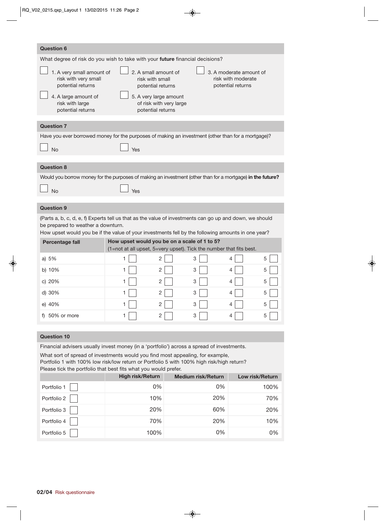| <b>Question 6</b>                                                                                                                                                                                                                                   |                                                                     |                                                                                                                                        |   |                                                                    |   |
|-----------------------------------------------------------------------------------------------------------------------------------------------------------------------------------------------------------------------------------------------------|---------------------------------------------------------------------|----------------------------------------------------------------------------------------------------------------------------------------|---|--------------------------------------------------------------------|---|
| What degree of risk do you wish to take with your future financial decisions?                                                                                                                                                                       |                                                                     |                                                                                                                                        |   |                                                                    |   |
| 1. A very small amount of<br>risk with very small<br>potential returns<br>4. A large amount of<br>risk with large<br>potential returns                                                                                                              |                                                                     | 2. A small amount of<br>risk with small<br>potential returns<br>5. A very large amount<br>of risk with very large<br>potential returns |   | 3. A moderate amount of<br>risk with moderate<br>potential returns |   |
| <b>Question 7</b>                                                                                                                                                                                                                                   |                                                                     |                                                                                                                                        |   |                                                                    |   |
| Have you ever borrowed money for the purposes of making an investment (other than for a mortgage)?                                                                                                                                                  |                                                                     |                                                                                                                                        |   |                                                                    |   |
| <b>No</b>                                                                                                                                                                                                                                           | Yes                                                                 |                                                                                                                                        |   |                                                                    |   |
|                                                                                                                                                                                                                                                     |                                                                     |                                                                                                                                        |   |                                                                    |   |
| <b>Question 8</b>                                                                                                                                                                                                                                   |                                                                     |                                                                                                                                        |   |                                                                    |   |
| Would you borrow money for the purposes of making an investment (other than for a mortgage) in the future?                                                                                                                                          |                                                                     |                                                                                                                                        |   |                                                                    |   |
| <b>No</b>                                                                                                                                                                                                                                           | Yes                                                                 |                                                                                                                                        |   |                                                                    |   |
|                                                                                                                                                                                                                                                     |                                                                     |                                                                                                                                        |   |                                                                    |   |
| <b>Question 9</b>                                                                                                                                                                                                                                   |                                                                     |                                                                                                                                        |   |                                                                    |   |
| (Parts a, b, c, d, e, f) Experts tell us that as the value of investments can go up and down, we should<br>be prepared to weather a downturn.<br>How upset would you be if the value of your investments fell by the following amounts in one year? |                                                                     |                                                                                                                                        |   |                                                                    |   |
| <b>Percentage fall</b>                                                                                                                                                                                                                              | How upset would you be on a scale of 1 to 5?                        |                                                                                                                                        |   |                                                                    |   |
|                                                                                                                                                                                                                                                     | (1=not at all upset, 5=very upset). Tick the number that fits best. |                                                                                                                                        |   |                                                                    |   |
| a) $5%$                                                                                                                                                                                                                                             | 1                                                                   | $\overline{c}$                                                                                                                         | 3 | 4                                                                  | 5 |
| b) $10%$                                                                                                                                                                                                                                            | 1                                                                   | 2                                                                                                                                      | 3 | 4                                                                  | 5 |
| c) 20%                                                                                                                                                                                                                                              | 1                                                                   | 2                                                                                                                                      | 3 |                                                                    | 5 |
| d) 30%                                                                                                                                                                                                                                              | 1                                                                   | 2                                                                                                                                      | 3 |                                                                    | 5 |
| e) 40%                                                                                                                                                                                                                                              | 1                                                                   | 2                                                                                                                                      | 3 | 4                                                                  | 5 |
| f) 50% or more                                                                                                                                                                                                                                      | 1                                                                   | 2                                                                                                                                      | 3 |                                                                    | 5 |
|                                                                                                                                                                                                                                                     |                                                                     |                                                                                                                                        |   |                                                                    |   |
| <b>Question 10</b>                                                                                                                                                                                                                                  |                                                                     |                                                                                                                                        |   |                                                                    |   |
| Financial advisers usually invest money (in a 'portfolio') across a spread of investments.                                                                                                                                                          |                                                                     |                                                                                                                                        |   |                                                                    |   |

What sort of spread of investments would you find most appealing, for example,

Portfolio 1 with 100% low risk/low return or Portfolio 5 with 100% high risk/high return? Please tick the portfolio that best fits what you would prefer.

|             | <b>High risk/Return</b> | <b>Medium risk/Return</b> | Low risk/Return |
|-------------|-------------------------|---------------------------|-----------------|
| Portfolio 1 | 0%                      | 0%                        | 100%            |
| Portfolio 2 | 10%                     | 20%                       | 70%             |
| Portfolio 3 | 20%                     | 60%                       | 20%             |
| Portfolio 4 | 70%                     | 20%                       | 10%             |
| Portfolio 5 | 100%                    | 0%                        | 0%              |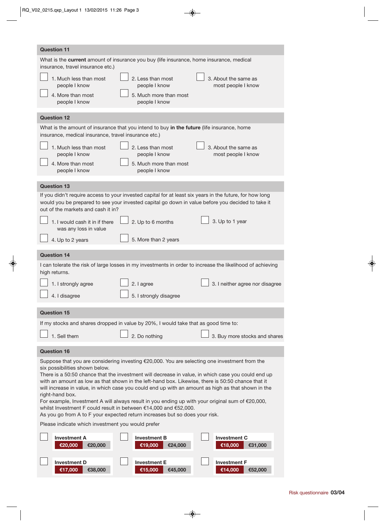| <b>Question 11</b>                                                                                                                                                                                                                                                                                                                                                                                                                                                                                                                                                                                                                                                                                                         |                                                                                                                                                                                                               |                                            |  |  |
|----------------------------------------------------------------------------------------------------------------------------------------------------------------------------------------------------------------------------------------------------------------------------------------------------------------------------------------------------------------------------------------------------------------------------------------------------------------------------------------------------------------------------------------------------------------------------------------------------------------------------------------------------------------------------------------------------------------------------|---------------------------------------------------------------------------------------------------------------------------------------------------------------------------------------------------------------|--------------------------------------------|--|--|
| insurance, travel insurance etc.)                                                                                                                                                                                                                                                                                                                                                                                                                                                                                                                                                                                                                                                                                          | What is the current amount of insurance you buy (life insurance, home insurance, medical                                                                                                                      |                                            |  |  |
| 1. Much less than most<br>people I know                                                                                                                                                                                                                                                                                                                                                                                                                                                                                                                                                                                                                                                                                    | 2. Less than most<br>people I know                                                                                                                                                                            | 3. About the same as<br>most people I know |  |  |
| 4. More than most<br>people I know                                                                                                                                                                                                                                                                                                                                                                                                                                                                                                                                                                                                                                                                                         | 5. Much more than most<br>people I know                                                                                                                                                                       |                                            |  |  |
| <b>Question 12</b>                                                                                                                                                                                                                                                                                                                                                                                                                                                                                                                                                                                                                                                                                                         |                                                                                                                                                                                                               |                                            |  |  |
| insurance, medical insurance, travel insurance etc.)                                                                                                                                                                                                                                                                                                                                                                                                                                                                                                                                                                                                                                                                       | What is the amount of insurance that you intend to buy in the future (life insurance, home                                                                                                                    |                                            |  |  |
| 1. Much less than most<br>people I know                                                                                                                                                                                                                                                                                                                                                                                                                                                                                                                                                                                                                                                                                    | 2. Less than most<br>people I know                                                                                                                                                                            | 3. About the same as<br>most people I know |  |  |
| 4. More than most<br>people I know                                                                                                                                                                                                                                                                                                                                                                                                                                                                                                                                                                                                                                                                                         | 5. Much more than most<br>people I know                                                                                                                                                                       |                                            |  |  |
| <b>Question 13</b>                                                                                                                                                                                                                                                                                                                                                                                                                                                                                                                                                                                                                                                                                                         |                                                                                                                                                                                                               |                                            |  |  |
| out of the markets and cash it in?                                                                                                                                                                                                                                                                                                                                                                                                                                                                                                                                                                                                                                                                                         | If you didn't require access to your invested capital for at least six years in the future, for how long<br>would you be prepared to see your invested capital go down in value before you decided to take it |                                            |  |  |
| 1. I would cash it in if there<br>was any loss in value                                                                                                                                                                                                                                                                                                                                                                                                                                                                                                                                                                                                                                                                    | 2. Up to 6 months                                                                                                                                                                                             | 3. Up to 1 year                            |  |  |
| 4. Up to 2 years                                                                                                                                                                                                                                                                                                                                                                                                                                                                                                                                                                                                                                                                                                           | 5. More than 2 years                                                                                                                                                                                          |                                            |  |  |
| <b>Question 14</b>                                                                                                                                                                                                                                                                                                                                                                                                                                                                                                                                                                                                                                                                                                         |                                                                                                                                                                                                               |                                            |  |  |
| high returns.                                                                                                                                                                                                                                                                                                                                                                                                                                                                                                                                                                                                                                                                                                              | I can tolerate the risk of large losses in my investments in order to increase the likelihood of achieving                                                                                                    |                                            |  |  |
| 1. I strongly agree                                                                                                                                                                                                                                                                                                                                                                                                                                                                                                                                                                                                                                                                                                        | 2. I agree                                                                                                                                                                                                    | 3. I neither agree nor disagree            |  |  |
| 4. I disagree                                                                                                                                                                                                                                                                                                                                                                                                                                                                                                                                                                                                                                                                                                              | 5. I strongly disagree                                                                                                                                                                                        |                                            |  |  |
| <b>Question 15</b>                                                                                                                                                                                                                                                                                                                                                                                                                                                                                                                                                                                                                                                                                                         |                                                                                                                                                                                                               |                                            |  |  |
|                                                                                                                                                                                                                                                                                                                                                                                                                                                                                                                                                                                                                                                                                                                            | If my stocks and shares dropped in value by 20%, I would take that as good time to:                                                                                                                           |                                            |  |  |
| 1. Sell them                                                                                                                                                                                                                                                                                                                                                                                                                                                                                                                                                                                                                                                                                                               | 2. Do nothing                                                                                                                                                                                                 | 3. Buy more stocks and shares              |  |  |
| <b>Question 16</b>                                                                                                                                                                                                                                                                                                                                                                                                                                                                                                                                                                                                                                                                                                         |                                                                                                                                                                                                               |                                            |  |  |
| Suppose that you are considering investing €20,000. You are selecting one investment from the<br>six possibilities shown below.<br>There is a 50:50 chance that the investment will decrease in value, in which case you could end up<br>with an amount as low as that shown in the left-hand box. Likewise, there is 50:50 chance that it<br>will increase in value, in which case you could end up with an amount as high as that shown in the<br>right-hand box.<br>For example, Investment A will always result in you ending up with your original sum of €20,000,<br>whilst Investment F could result in between €14,000 and €52,000.<br>As you go from A to F your expected return increases but so does your risk. |                                                                                                                                                                                                               |                                            |  |  |
| Please indicate which investment you would prefer                                                                                                                                                                                                                                                                                                                                                                                                                                                                                                                                                                                                                                                                          |                                                                                                                                                                                                               |                                            |  |  |
| <b>Investment A</b><br>€20,000<br>€20,000                                                                                                                                                                                                                                                                                                                                                                                                                                                                                                                                                                                                                                                                                  | <b>Investment B</b><br>€19,000<br>€24,000                                                                                                                                                                     | <b>Investment C</b><br>€31,000<br>€18,000  |  |  |
| <b>Investment D</b><br>€38,000<br>€17,000                                                                                                                                                                                                                                                                                                                                                                                                                                                                                                                                                                                                                                                                                  | <b>Investment E</b><br>€45,000<br>€15,000                                                                                                                                                                     | <b>Investment F</b><br>€14,000<br>€52,000  |  |  |